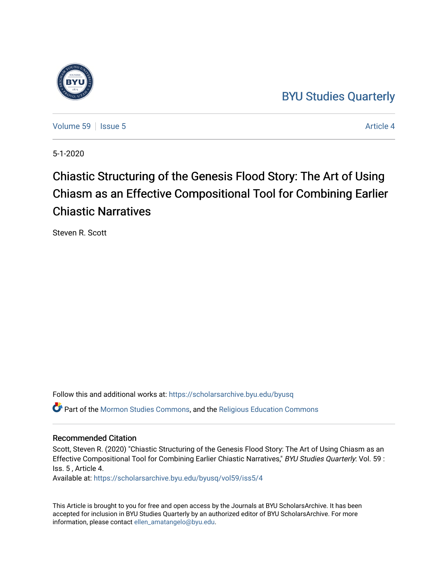## [BYU Studies Quarterly](https://scholarsarchive.byu.edu/byusq)

[Volume 59](https://scholarsarchive.byu.edu/byusq/vol59) Setsue 5 Article 4

5-1-2020

# Chiastic Structuring of the Genesis Flood Story: The Art of Using Chiasm as an Effective Compositional Tool for Combining Earlier Chiastic Narratives

Steven R. Scott

Follow this and additional works at: [https://scholarsarchive.byu.edu/byusq](https://scholarsarchive.byu.edu/byusq?utm_source=scholarsarchive.byu.edu%2Fbyusq%2Fvol59%2Fiss5%2F4&utm_medium=PDF&utm_campaign=PDFCoverPages) 

Part of the [Mormon Studies Commons](http://network.bepress.com/hgg/discipline/1360?utm_source=scholarsarchive.byu.edu%2Fbyusq%2Fvol59%2Fiss5%2F4&utm_medium=PDF&utm_campaign=PDFCoverPages), and the [Religious Education Commons](http://network.bepress.com/hgg/discipline/1414?utm_source=scholarsarchive.byu.edu%2Fbyusq%2Fvol59%2Fiss5%2F4&utm_medium=PDF&utm_campaign=PDFCoverPages) 

## Recommended Citation

Scott, Steven R. (2020) "Chiastic Structuring of the Genesis Flood Story: The Art of Using Chiasm as an Effective Compositional Tool for Combining Earlier Chiastic Narratives," BYU Studies Quarterly: Vol. 59 : Iss. 5 , Article 4.

Available at: [https://scholarsarchive.byu.edu/byusq/vol59/iss5/4](https://scholarsarchive.byu.edu/byusq/vol59/iss5/4?utm_source=scholarsarchive.byu.edu%2Fbyusq%2Fvol59%2Fiss5%2F4&utm_medium=PDF&utm_campaign=PDFCoverPages)

This Article is brought to you for free and open access by the Journals at BYU ScholarsArchive. It has been accepted for inclusion in BYU Studies Quarterly by an authorized editor of BYU ScholarsArchive. For more information, please contact [ellen\\_amatangelo@byu.edu.](mailto:ellen_amatangelo@byu.edu)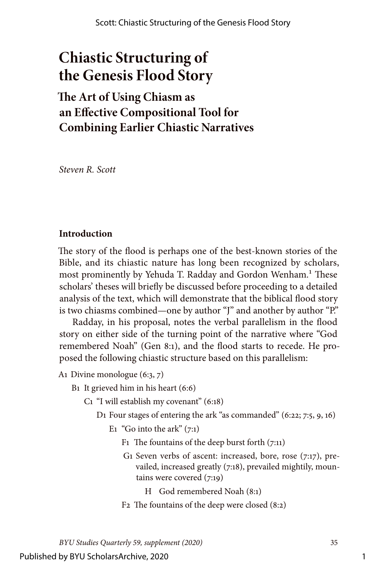## **Chiastic Structuring of the Genesis Flood Story**

## **The Art of Using Chiasm as an Effective Compositional Tool for Combining Earlier Chiastic Narratives**

*Steven R. Scott*

## **Introduction**

The story of the flood is perhaps one of the best-known stories of the Bible, and its chiastic nature has long been recognized by scholars, most prominently by Yehuda T. Radday and Gordon Wenham.<sup>1</sup> These scholars' theses will briefly be discussed before proceeding to a detailed analysis of the text, which will demonstrate that the biblical flood story is two chiasms combined—one by author "J" and another by author "P."

Radday, in his proposal, notes the verbal parallelism in the flood story on either side of the turning point of the narrative where "God remembered Noah" (Gen 8:1), and the flood starts to recede. He proposed the following chiastic structure based on this parallelism:

- A1 Divine monologue (6:3, 7)
	- B1 It grieved him in his heart (6:6)
		- C1 "I will establish my covenant" (6:18)
			- D1 Four stages of entering the ark "as commanded" (6:22; 7:5, 9, 16)
				- E<sub>1</sub> "Go into the ark"  $(7:1)$ 
					- F1 The fountains of the deep burst forth (7:11)
					- G<sub>1</sub> Seven verbs of ascent: increased, bore, rose (7:17), prevailed, increased greatly (7:18), prevailed mightily, mountains were covered (7:19)
						- H God remembered Noah (8:1)
					- F2 The fountains of the deep were closed (8:2)

*BYU Studies Quarterly 59, supplement (2020)* 35

Published by BYU ScholarsArchive, 2020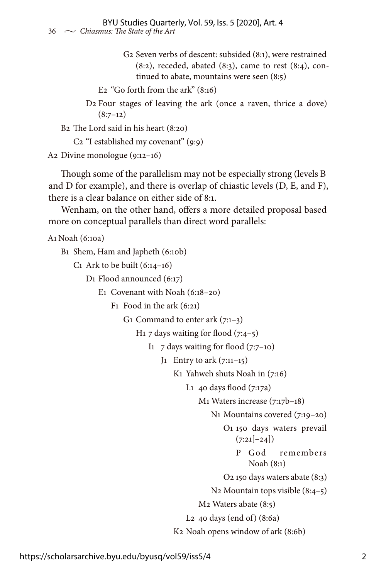G2 Seven verbs of descent: subsided (8:1), were restrained  $(8:2)$ , receded, abated  $(8:3)$ , came to rest  $(8:4)$ , continued to abate, mountains were seen (8:5)

```
 E2 "Go forth from the ark" (8:16)
```
 D2 Four stages of leaving the ark (once a raven, thrice a dove)  $(8:7-12)$ 

B2 The Lord said in his heart (8:20)

C2 "I established my covenant" (9:9)

A2 Divine monologue (9:12–16)

Though some of the parallelism may not be especially strong (levels B and D for example), and there is overlap of chiastic levels (D, E, and F), there is a clear balance on either side of 8:1.

Wenham, on the other hand, offers a more detailed proposal based more on conceptual parallels than direct word parallels:

```
A1 Noah (6:10a)
```
Β1 Shem, Ham and Japheth (6:10b)

C<sub>1</sub> Ark to be built  $(6:14-16)$ 

D1 Flood announced (6:17)

E1 Covenant with Noah (6:18–20)

F1 Food in the ark (6:21)

G<sub>1</sub> Command to enter ark  $(7:1-3)$ 

H<sub>1</sub> 7 days waiting for flood  $(7:4-5)$ 

I<sub>1</sub>  $7$  days waiting for flood  $(7:7-10)$ 

J1 Entry to ark  $(7:11-15)$ 

Κ1 Yahweh shuts Noah in (7:16)

L<sub>1</sub> 40 days flood  $(7:17a)$ 

M1 Waters increase (7:17b–18)

Ν1 Mountains covered (7:19–20)

 O1 150 days waters prevail  $(7:21[-24])$ 

> Ρ God remembers Noah (8:1)

O2 150 days waters abate (8:3)

Ν2 Mountain tops visible (8:4–5)

M2 Waters abate (8:5)

L2 40 days (end of) (8:6a)

Κ2 Noah opens window of ark (8:6b)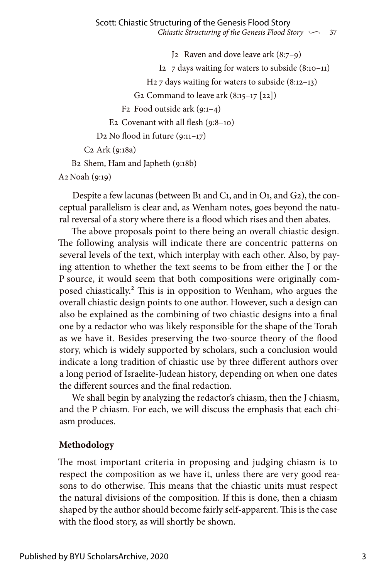J2 Raven and dove leave ark (8:7–9) I<sub>2</sub>  $\frac{7}{2}$  days waiting for waters to subside (8:10–11) Η2 7 days waiting for waters to subside (8:12–13) G<sub>2</sub> Command to leave ark  $(8:15-17)$  [22]) F2 Food outside ark (9:1–4) Ε2 Covenant with all flesh (9:8–10) D<sub>2</sub> No flood in future  $(9:11-17)$  C2 Ark (9:18a) Β2 Shem, Ham and Japheth (9:18b)

Α2Noah (9:19)

Despite a few lacunas (between B1 and C1, and in O1, and G2), the conceptual parallelism is clear and, as Wenham notes, goes beyond the natural reversal of a story where there is a flood which rises and then abates.

The above proposals point to there being an overall chiastic design. The following analysis will indicate there are concentric patterns on several levels of the text, which interplay with each other. Also, by paying attention to whether the text seems to be from either the J or the P source, it would seem that both compositions were originally composed chiastically.2 This is in opposition to Wenham, who argues the overall chiastic design points to one author. However, such a design can also be explained as the combining of two chiastic designs into a final one by a redactor who was likely responsible for the shape of the Torah as we have it. Besides preserving the two-source theory of the flood story, which is widely supported by scholars, such a conclusion would indicate a long tradition of chiastic use by three different authors over a long period of Israelite-Judean history, depending on when one dates the different sources and the final redaction.

We shall begin by analyzing the redactor's chiasm, then the J chiasm, and the P chiasm. For each, we will discuss the emphasis that each chiasm produces.

## **Methodology**

The most important criteria in proposing and judging chiasm is to respect the composition as we have it, unless there are very good reasons to do otherwise. This means that the chiastic units must respect the natural divisions of the composition. If this is done, then a chiasm shaped by the author should become fairly self-apparent. This is the case with the flood story, as will shortly be shown.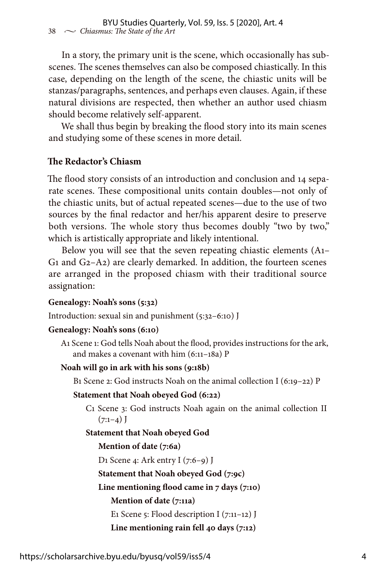In a story, the primary unit is the scene, which occasionally has subscenes. The scenes themselves can also be composed chiastically. In this case, depending on the length of the scene, the chiastic units will be stanzas/paragraphs, sentences, and perhaps even clauses. Again, if these natural divisions are respected, then whether an author used chiasm should become relatively self-apparent.

We shall thus begin by breaking the flood story into its main scenes and studying some of these scenes in more detail.

## **The Redactor's Chiasm**

The flood story consists of an introduction and conclusion and 14 separate scenes. These compositional units contain doubles—not only of the chiastic units, but of actual repeated scenes—due to the use of two sources by the final redactor and her/his apparent desire to preserve both versions. The whole story thus becomes doubly "two by two," which is artistically appropriate and likely intentional.

Below you will see that the seven repeating chiastic elements (A1– G1 and G2–A2) are clearly demarked. In addition, the fourteen scenes are arranged in the proposed chiasm with their traditional source assignation:

### **Genealogy: Noah's sons (5:32)**

Introduction: sexual sin and punishment (5:32–6:10) J

#### **Genealogy: Noah's sons (6:10)**

A1 Scene 1: God tells Noah about the flood, provides instructions for the ark, and makes a covenant with him (6:11–18a) P

#### **Noah will go in ark with his sons (9:18b)**

B1 Scene 2: God instructs Noah on the animal collection I (6:19–22) P

#### **Statement that Noah obeyed God (6:22)**

 C1 Scene 3: God instructs Noah again on the animal collection II  $(7:1-4)$  J

### **Statement that Noah obeyed God**

### **Mention of date (7:6a)**

D1 Scene 4: Ark entry I (7:6–9) J

 **Statement that Noah obeyed God (7:9c)**

 **Line mentioning flood came in 7 days (7:10)**

### **Mention of date (7:11a)**

E1 Scene 5: Flood description I (7:11–12) J

```
 Line mentioning rain fell 40 days (7:12)
```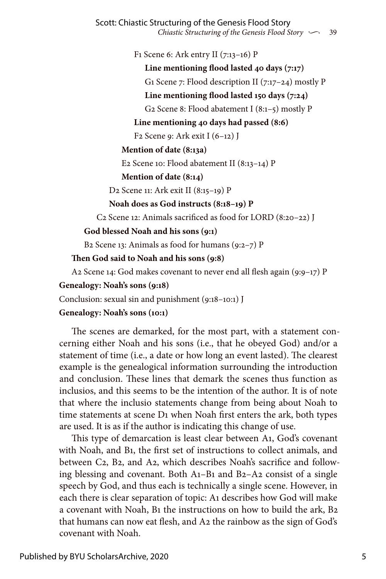F1 Scene 6: Ark entry II (7:13–16) P

 **Line mentioning flood lasted 40 days (7:17)** G1 Scene 7: Flood description II (7:17–24) mostly P

 **Line mentioning flood lasted 150 days (7:24)**

G2 Scene 8: Flood abatement I (8:1–5) mostly P

 **Line mentioning 40 days had passed (8:6)**

F2 Scene 9: Ark exit I (6–12) J

## **Mention of date (8:13a)**

E2 Scene 10: Flood abatement II (8:13–14) P

## **Mention of date (8:14)**

D2 Scene 11: Ark exit II (8:15–19) P

 **Noah does as God instructs (8:18–19) P**

C2 Scene 12: Animals sacrificed as food for LORD (8:20–22) J

## **God blessed Noah and his sons (9:1)**

B2 Scene 13: Animals as food for humans  $(9:2-7)$  P

## **Then God said to Noah and his sons (9:8)**

A2 Scene 14: God makes covenant to never end all flesh again  $(9:9-17)$  P

## **Genealogy: Noah's sons (9:18)**

Conclusion: sexual sin and punishment (9:18–10:1) J

## **Genealogy: Noah's sons (10:1)**

The scenes are demarked, for the most part, with a statement concerning either Noah and his sons (i.e., that he obeyed God) and/or a statement of time (i.e., a date or how long an event lasted). The clearest example is the genealogical information surrounding the introduction and conclusion. These lines that demark the scenes thus function as inclusios, and this seems to be the intention of the author. It is of note that where the inclusio statements change from being about Noah to time statements at scene D1 when Noah first enters the ark, both types are used. It is as if the author is indicating this change of use.

This type of demarcation is least clear between A1, God's covenant with Noah, and B1, the first set of instructions to collect animals, and between C2, B2, and A2, which describes Noah's sacrifice and following blessing and covenant. Both A1–B1 and B2–A2 consist of a single speech by God, and thus each is technically a single scene. However, in each there is clear separation of topic: A1 describes how God will make a covenant with Noah, B1 the instructions on how to build the ark, B2 that humans can now eat flesh, and A2 the rainbow as the sign of God's covenant with Noah.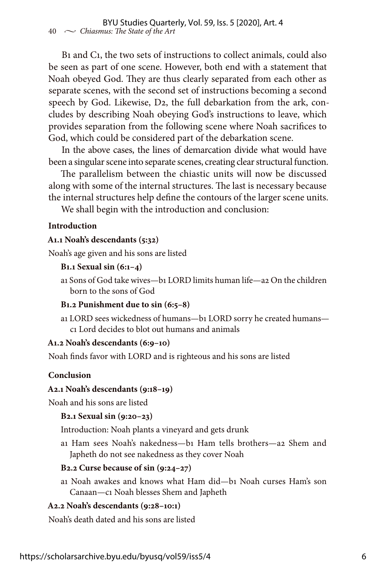B1 and C1, the two sets of instructions to collect animals, could also be seen as part of one scene. However, both end with a statement that Noah obeyed God. They are thus clearly separated from each other as separate scenes, with the second set of instructions becoming a second speech by God. Likewise, D2, the full debarkation from the ark, concludes by describing Noah obeying God's instructions to leave, which provides separation from the following scene where Noah sacrifices to God, which could be considered part of the debarkation scene.

In the above cases, the lines of demarcation divide what would have been a singular scene into separate scenes, creating clear structural function.

The parallelism between the chiastic units will now be discussed along with some of the internal structures. The last is necessary because the internal structures help define the contours of the larger scene units.

We shall begin with the introduction and conclusion:

### **Introduction**

### **A1.1 Noah's descendants (5:32)**

Noah's age given and his sons are listed

#### **B1.1 Sexual sin (6:1–4)**

a1 Sons of God take wives—b1 LORD limits human life—a2 On the children born to the sons of God

### **B1.2 Punishment due to sin (6:5–8)**

a1 LORD sees wickedness of humans—b1 LORD sorry he created humans c1 Lord decides to blot out humans and animals

### **A1.2 Noah's descendants (6:9–10)**

Noah finds favor with LORD and is righteous and his sons are listed

### **Conclusion**

### **A2.1 Noah's descendants (9:18–19)**

Noah and his sons are listed

### **B2.1 Sexual sin (9:20–23)**

Introduction: Noah plants a vineyard and gets drunk

a1 Ham sees Noah's nakedness—b1 Ham tells brothers—a2 Shem and Japheth do not see nakedness as they cover Noah

### **B2.2 Curse because of sin (9:24–27)**

a1 Noah awakes and knows what Ham did—b1 Noah curses Ham's son Canaan—c1 Noah blesses Shem and Japheth

### **A2.2 Noah's descendants (9:28–10:1)**

Noah's death dated and his sons are listed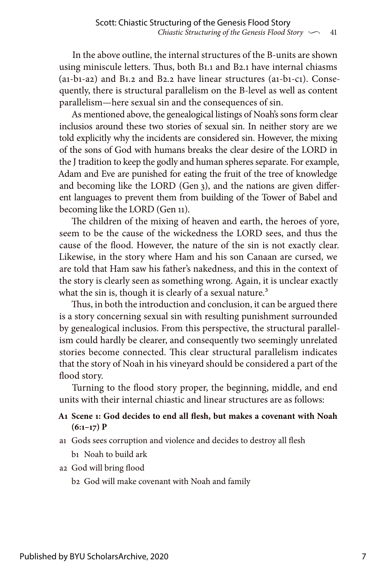In the above outline, the internal structures of the B-units are shown using miniscule letters. Thus, both B1.1 and B2.1 have internal chiasms (a1-b1-a2) and B1.2 and B2.2 have linear structures (a1-b1-c1). Consequently, there is structural parallelism on the B-level as well as content parallelism—here sexual sin and the consequences of sin.

As mentioned above, the genealogical listings of Noah's sons form clear inclusios around these two stories of sexual sin. In neither story are we told explicitly why the incidents are considered sin. However, the mixing of the sons of God with humans breaks the clear desire of the LORD in the J tradition to keep the godly and human spheres separate. For example, Adam and Eve are punished for eating the fruit of the tree of knowledge and becoming like the LORD (Gen 3), and the nations are given different languages to prevent them from building of the Tower of Babel and becoming like the LORD (Gen 11).

The children of the mixing of heaven and earth, the heroes of yore, seem to be the cause of the wickedness the LORD sees, and thus the cause of the flood. However, the nature of the sin is not exactly clear. Likewise, in the story where Ham and his son Canaan are cursed, we are told that Ham saw his father's nakedness, and this in the context of the story is clearly seen as something wrong. Again, it is unclear exactly what the sin is, though it is clearly of a sexual nature.<sup>3</sup>

Thus, in both the introduction and conclusion, it can be argued there is a story concerning sexual sin with resulting punishment surrounded by genealogical inclusios. From this perspective, the structural parallelism could hardly be clearer, and consequently two seemingly unrelated stories become connected. This clear structural parallelism indicates that the story of Noah in his vineyard should be considered a part of the flood story.

Turning to the flood story proper, the beginning, middle, and end units with their internal chiastic and linear structures are as follows:

## **A1 Scene 1: God decides to end all flesh, but makes a covenant with Noah (6:1–17) P**

- a1 Gods sees corruption and violence and decides to destroy all flesh b1 Noah to build ark
- a2 God will bring flood
	- b2 God will make covenant with Noah and family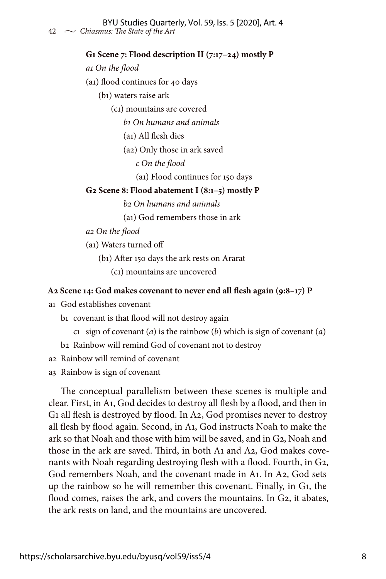### **G1 Scene 7: Flood description II (7:17–24) mostly P**

 *a1 On the flood*

(a1) flood continues for 40 days

(b1) waters raise ark

(c1) mountains are covered

 *b1 On humans and animals*

(a1) All flesh dies

(a2) Only those in ark saved

 *c On the flood*

(a1) Flood continues for 150 days

### **G2 Scene 8: Flood abatement I (8:1–5) mostly P**

 *b2 On humans and animals*

(a1) God remembers those in ark

 *a2 On the flood*

(a1) Waters turned off

(b1) After 150 days the ark rests on Ararat

(c1) mountains are uncovered

### **A2 Scene 14: God makes covenant to never end all flesh again (9:8–17) P**

a1 God establishes covenant

b1 covenant is that flood will not destroy again

c1 sign of covenant (*a*) is the rainbow (*b*) which is sign of covenant (*a*)

b2 Rainbow will remind God of covenant not to destroy

a2 Rainbow will remind of covenant

a3 Rainbow is sign of covenant

The conceptual parallelism between these scenes is multiple and clear. First, in A1, God decides to destroy all flesh by a flood, and then in G1 all flesh is destroyed by flood. In A2, God promises never to destroy all flesh by flood again. Second, in A1, God instructs Noah to make the ark so that Noah and those with him will be saved, and in G2, Noah and those in the ark are saved. Third, in both A1 and A2, God makes covenants with Noah regarding destroying flesh with a flood. Fourth, in G2, God remembers Noah, and the covenant made in A1. In A2, God sets up the rainbow so he will remember this covenant. Finally, in G1, the flood comes, raises the ark, and covers the mountains. In G2, it abates, the ark rests on land, and the mountains are uncovered.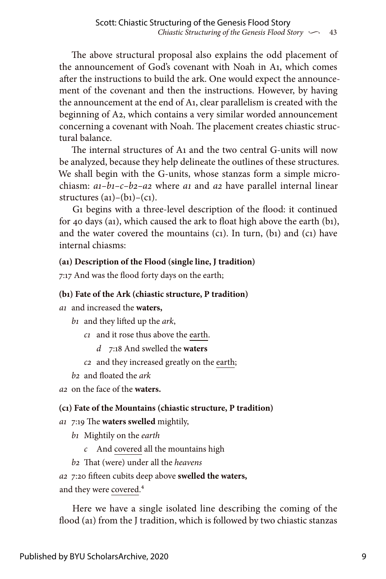The above structural proposal also explains the odd placement of the announcement of God's covenant with Noah in A1, which comes after the instructions to build the ark. One would expect the announcement of the covenant and then the instructions. However, by having the announcement at the end of A1, clear parallelism is created with the beginning of A2, which contains a very similar worded announcement concerning a covenant with Noah. The placement creates chiastic structural balance.

The internal structures of A1 and the two central G-units will now be analyzed, because they help delineate the outlines of these structures. We shall begin with the G-units, whose stanzas form a simple microchiasm: *a1–b1–c–b2–a2* where *a1* and *a2* have parallel internal linear structures  $(a_1)$ – $(b_1)$ – $(c_1)$ .

G1 begins with a three-level description of the flood: it continued for 40 days (a1), which caused the ark to float high above the earth (b1), and the water covered the mountains  $(c_1)$ . In turn,  $(b_1)$  and  $(c_1)$  have internal chiasms:

## **(a1) Description of the Flood (single line, J tradition)**

7:17 And was the flood forty days on the earth;

## **(b1) Fate of the Ark (chiastic structure, P tradition)**

*a1* and increased the **waters,**

*b1* and they lifted up the *ark*,

 *c1* and it rose thus above the earth.

 *d* 7:18 And swelled the **waters**

 *c2* and they increased greatly on the earth;

*b2* and floated the *ark*

*a2* on the face of the **waters.**

## **(c1) Fate of the Mountains (chiastic structure, P tradition)**

*a1* 7:19 The **waters swelled** mightily,

*b1* Mightily on the *earth*

- *c* And covered all the mountains high
- *b2* That (were) under all the *heavens*

*a2* 7:20 fifteen cubits deep above **swelled the waters,**

and they were covered.4

Here we have a single isolated line describing the coming of the flood (a1) from the J tradition, which is followed by two chiastic stanzas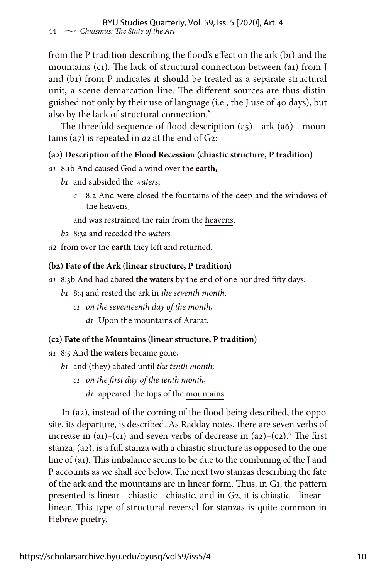from the P tradition describing the flood's effect on the ark (b1) and the mountains (c1). The lack of structural connection between (a1) from J and (b1) from P indicates it should be treated as a separate structural unit, a scene-demarcation line. The different sources are thus distinguished not only by their use of language (i.e., the J use of 40 days), but also by the lack of structural connection.<sup>5</sup>

The threefold sequence of flood description (a5)—ark (a6)—mountains (a7) is repeated in *a2* at the end of G2:

## **(a2) Description of the Flood Recession (chiastic structure, P tradition)**

*a1* 8:1b And caused God a wind over the **earth,**

- *b1* and subsided the *waters*;
	- *c* 8:2 And were closed the fountains of the deep and the windows of the heavens,

and was restrained the rain from the heavens,

- *b2* 8:3a and receded the *waters*
- *a2* from over the **earth** they left and returned.

## **(b2) Fate of the Ark (linear structure, P tradition)**

- *a1* 8:3b And had abated **the waters** by the end of one hundred fifty days;
	- *b1* 8:4 and rested the ark in *the seventh month,*
		- *c1 on the seventeenth day of the month,*
			- *d1* Upon the mountains of Ararat.

## **(c2) Fate of the Mountains (linear structure, P tradition)**

- *a1* 8:5 And **the waters** became gone,
	- *b1* and (they) abated until *the tenth month;*
		- *c1 on the first day of the tenth month,*
			- *d1* appeared the tops of the mountains.

In (a2), instead of the coming of the flood being described, the opposite, its departure, is described. As Radday notes, there are seven verbs of increase in  $(a1)$ – $(c1)$  and seven verbs of decrease in  $(a2)$ – $(c2)$ .<sup>6</sup> The first stanza, (a2), is a full stanza with a chiastic structure as opposed to the one line of (a1). This imbalance seems to be due to the combining of the J and P accounts as we shall see below. The next two stanzas describing the fate of the ark and the mountains are in linear form. Thus, in G1, the pattern presented is linear—chiastic—chiastic, and in G2, it is chiastic—linear linear. This type of structural reversal for stanzas is quite common in Hebrew poetry.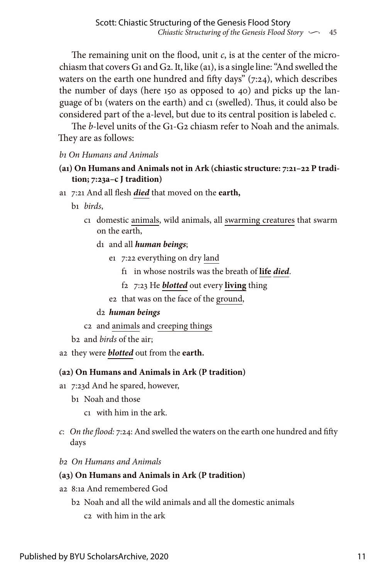The remaining unit on the flood, unit *c*, is at the center of the microchiasm that covers G1 and G2. It, like (a1), is a single line: "And swelled the waters on the earth one hundred and fifty days" (7:24), which describes the number of days (here 150 as opposed to 40) and picks up the language of b1 (waters on the earth) and c1 (swelled). Thus, it could also be considered part of the a-level, but due to its central position is labeled c.

The *b*-level units of the G1-G2 chiasm refer to Noah and the animals. They are as follows:

## *b1 On Humans and Animals*

## **(a1) On Humans and Animals not in Ark (chiastic structure: 7:21–22 P tradition; 7:23a–c J tradition)**

- a1 7:21 And all flesh *died* that moved on the **earth,**
	- b1 *birds*,
		- c1 domestic animals, wild animals, all swarming creatures that swarm on the earth,
			- d1 and all *human beings*;
				- e1 7:22 everything on dry land
					- f1 in whose nostrils was the breath of **life** *died*.
					- f2 7:23 He *blotted* out every **living** thing
				- e2 that was on the face of the ground,

#### d2 *human beings*

- c2 and animals and creeping things
- b2 and *birds* of the air;
- a2 they were *blotted* out from the **earth.**

#### **(a2) On Humans and Animals in Ark (P tradition)**

- a1 7:23d And he spared, however,
	- b1 Noah and those
		- c1 with him in the ark.
- *c*: *On the flood:* 7:24: And swelled the waters on the earth one hundred and fifty days
- *b2 On Humans and Animals*

### **(a3) On Humans and Animals in Ark (P tradition)**

- a2 8:1a And remembered God
	- b2 Noah and all the wild animals and all the domestic animals c2 with him in the ark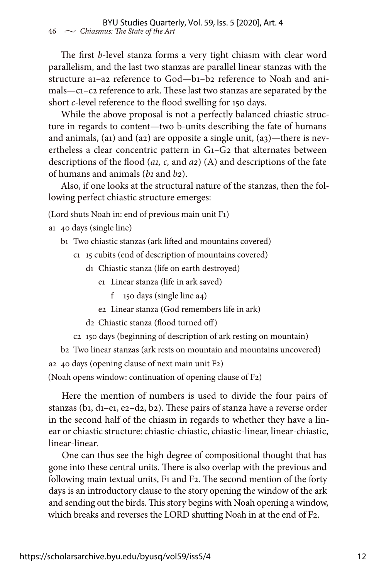The first *b*-level stanza forms a very tight chiasm with clear word parallelism, and the last two stanzas are parallel linear stanzas with the structure a1–a2 reference to God—b1–b2 reference to Noah and animals—c1–c2 reference to ark. These last two stanzas are separated by the short *c*-level reference to the flood swelling for 150 days.

While the above proposal is not a perfectly balanced chiastic structure in regards to content—two b-units describing the fate of humans and animals, (a1) and (a2) are opposite a single unit,  $(a_3)$ —there is nevertheless a clear concentric pattern in G1–G2 that alternates between descriptions of the flood (*a1, c,* and *a2*) (A) and descriptions of the fate of humans and animals (*b1* and *b2*).

Also, if one looks at the structural nature of the stanzas, then the following perfect chiastic structure emerges:

(Lord shuts Noah in: end of previous main unit F1)

- a1 40 days (single line)
	- b1 Two chiastic stanzas (ark lifted and mountains covered)
		- c1 15 cubits (end of description of mountains covered)
			- d1 Chiastic stanza (life on earth destroyed)
				- e1 Linear stanza (life in ark saved)
					- f 150 days (single line a4)
				- e2 Linear stanza (God remembers life in ark)
			- d2 Chiastic stanza (flood turned off)
		- c2 150 days (beginning of description of ark resting on mountain)

b2 Two linear stanzas (ark rests on mountain and mountains uncovered)

a2 40 days (opening clause of next main unit F2)

(Noah opens window: continuation of opening clause of F2)

Here the mention of numbers is used to divide the four pairs of stanzas (b1, d1–e1, e2–d2, b2). These pairs of stanza have a reverse order in the second half of the chiasm in regards to whether they have a linear or chiastic structure: chiastic-chiastic, chiastic-linear, linear-chiastic, linear-linear.

One can thus see the high degree of compositional thought that has gone into these central units. There is also overlap with the previous and following main textual units, F1 and F2. The second mention of the forty days is an introductory clause to the story opening the window of the ark and sending out the birds. This story begins with Noah opening a window, which breaks and reverses the LORD shutting Noah in at the end of F2.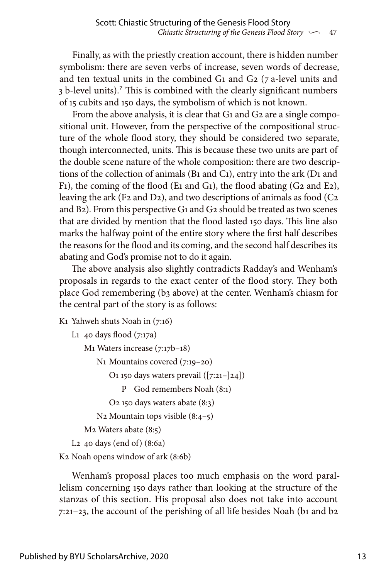Finally, as with the priestly creation account, there is hidden number symbolism: there are seven verbs of increase, seven words of decrease, and ten textual units in the combined G1 and G2 (7 a-level units and 3 b-level units).7 This is combined with the clearly significant numbers of 15 cubits and 150 days, the symbolism of which is not known.

From the above analysis, it is clear that G1 and G2 are a single compositional unit. However, from the perspective of the compositional structure of the whole flood story, they should be considered two separate, though interconnected, units. This is because these two units are part of the double scene nature of the whole composition: there are two descriptions of the collection of animals (B1 and C1), entry into the ark (D1 and F1), the coming of the flood (E1 and G1), the flood abating (G2 and E2), leaving the ark (F2 and D2), and two descriptions of animals as food ( $C<sub>2</sub>$ and B2). From this perspective G1 and G2 should be treated as two scenes that are divided by mention that the flood lasted 150 days. This line also marks the halfway point of the entire story where the first half describes the reasons for the flood and its coming, and the second half describes its abating and God's promise not to do it again.

The above analysis also slightly contradicts Radday's and Wenham's proposals in regards to the exact center of the flood story. They both place God remembering (b3 above) at the center. Wenham's chiasm for the central part of the story is as follows:

Κ1 Yahweh shuts Noah in (7:16)

```
L1 40 days flood (7:17a)
```

```
M1 Waters increase (7:17b–18)
```

```
 Ν1 Mountains covered (7:19–20)
```
O<sub>1</sub> 150 days waters prevail  $([7:21 - 24])$ 

Ρ God remembers Noah (8:1)

```
 O2 150 days waters abate (8:3)
```

```
 Ν2 Mountain tops visible (8:4–5)
```
M2 Waters abate (8:5)

L2 40 days (end of) (8:6a)

Κ2 Noah opens window of ark (8:6b)

Wenham's proposal places too much emphasis on the word parallelism concerning 150 days rather than looking at the structure of the stanzas of this section. His proposal also does not take into account 7:21–23, the account of the perishing of all life besides Noah (b1 and b2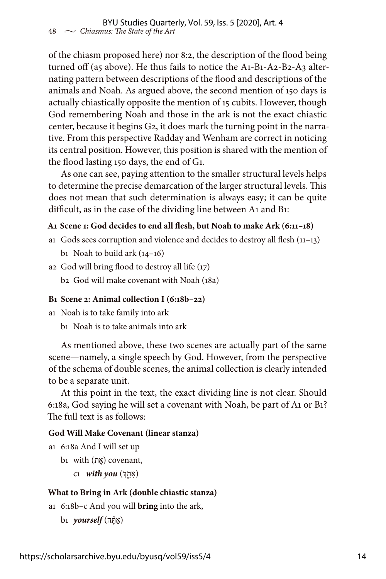of the chiasm proposed here) nor 8:2, the description of the flood being turned off (a5 above). He thus fails to notice the A1-B1-A2-B2-A3 alternating pattern between descriptions of the flood and descriptions of the animals and Noah. As argued above, the second mention of 150 days is actually chiastically opposite the mention of 15 cubits. However, though God remembering Noah and those in the ark is not the exact chiastic center, because it begins G2, it does mark the turning point in the narrative. From this perspective Radday and Wenham are correct in noticing its central position. However, this position is shared with the mention of the flood lasting 150 days, the end of G1.

As one can see, paying attention to the smaller structural levels helps to determine the precise demarcation of the larger structural levels. This does not mean that such determination is always easy; it can be quite difficult, as in the case of the dividing line between A1 and B1:

### **A1 Scene 1: God decides to end all flesh, but Noah to make Ark (6:11–18)**

- a1 Gods sees corruption and violence and decides to destroy all flesh (11–13)
	- b<sub>1</sub> Noah to build ark  $(14-16)$
- a2 God will bring flood to destroy all life (17)

b2 God will make covenant with Noah (18a)

#### **B1 Scene 2: Animal collection I (6:18b–22)**

- a1 Noah is to take family into ark
	- b1 Noah is to take animals into ark

As mentioned above, these two scenes are actually part of the same scene—namely, a single speech by God. However, from the perspective of the schema of double scenes, the animal collection is clearly intended to be a separate unit.

At this point in the text, the exact dividing line is not clear. Should 6:18a, God saying he will set a covenant with Noah, be part of A1 or B1? The full text is as follows:

#### **God Will Make Covenant (linear stanza)**

- a1 6:18a And I will set up
	- b<sub>1</sub> with (אֶת) covenant,
		- (אִּתָ֑ ְך) *you with* 1c

#### **What to Bring in Ark (double chiastic stanza)**

- a1 6:18b–c And you will **bring** into the ark,
	- $b_1$  *yourself* (אִתְּה)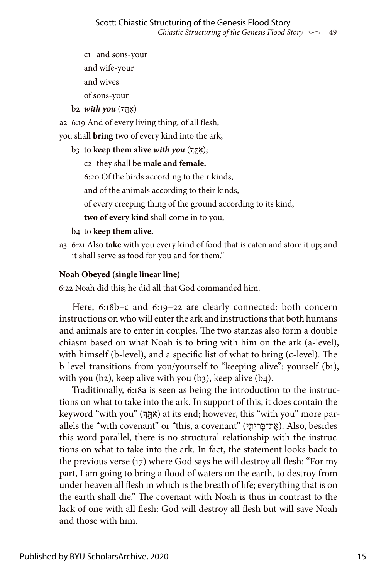c1 and sons-your and wife-your and wives

of sons-your

(אִּתָ ְֽך) *you with* 2b

a2 6:19 And of every living thing, of all flesh,

you shall **bring** two of every kind into the ark,

b3 to **keep them alive** *with you* (ךְ ָ֑תִּא;(

c2 they shall be **male and female.**

6:20 Of the birds according to their kinds,

and of the animals according to their kinds,

of every creeping thing of the ground according to its kind,

**two of every kind** shall come in to you,

- b4 to **keep them alive.**
- a3 6:21 Also **take** with you every kind of food that is eaten and store it up; and it shall serve as food for you and for them."

## **Noah Obeyed (single linear line)**

6:22 Noah did this; he did all that God commanded him.

Here, 6:18b–c and 6:19–22 are clearly connected: both concern instructions on who will enter the ark and instructions that both humans and animals are to enter in couples. The two stanzas also form a double chiasm based on what Noah is to bring with him on the ark (a-level), with himself (b-level), and a specific list of what to bring (c-level). The b-level transitions from you/yourself to "keeping alive": yourself (b1), with you  $(b_2)$ , keep alive with you  $(b_3)$ , keep alive  $(b_4)$ .

Traditionally, 6:18a is seen as being the introduction to the instructions on what to take into the ark. In support of this, it does contain the keyword "with you" (אְהֵּךְּ at its end; however, this "with you" more parallels the "with covenant" or "this, a covenant" (אֲת־בָּרִיתֶי). Also, besides this word parallel, there is no structural relationship with the instructions on what to take into the ark. In fact, the statement looks back to the previous verse (17) where God says he will destroy all flesh: "For my part, I am going to bring a flood of waters on the earth, to destroy from under heaven all flesh in which is the breath of life; everything that is on the earth shall die." The covenant with Noah is thus in contrast to the lack of one with all flesh: God will destroy all flesh but will save Noah and those with him.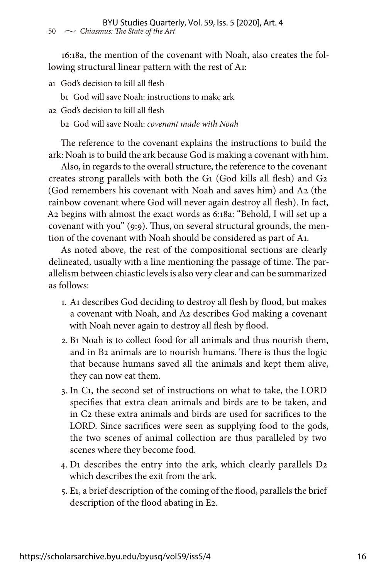16:18a, the mention of the covenant with Noah, also creates the following structural linear pattern with the rest of A1:

a1 God's decision to kill all flesh

b1 God will save Noah: instructions to make ark

a2 God's decision to kill all flesh

b2 God will save Noah: *covenant made with Noah*

The reference to the covenant explains the instructions to build the ark: Noah is to build the ark because God is making a covenant with him.

Also, in regards to the overall structure, the reference to the covenant creates strong parallels with both the G1 (God kills all flesh) and G2 (God remembers his covenant with Noah and saves him) and A2 (the rainbow covenant where God will never again destroy all flesh). In fact, A2 begins with almost the exact words as 6:18a: "Behold, I will set up a covenant with you" (9:9). Thus, on several structural grounds, the mention of the covenant with Noah should be considered as part of A1.

As noted above, the rest of the compositional sections are clearly delineated, usually with a line mentioning the passage of time. The parallelism between chiastic levels is also very clear and can be summarized as follows:

- 1. A1 describes God deciding to destroy all flesh by flood, but makes a covenant with Noah, and A2 describes God making a covenant with Noah never again to destroy all flesh by flood.
- 2. B1 Noah is to collect food for all animals and thus nourish them, and in B2 animals are to nourish humans. There is thus the logic that because humans saved all the animals and kept them alive, they can now eat them.
- 3. In C1, the second set of instructions on what to take, the LORD specifies that extra clean animals and birds are to be taken, and in C2 these extra animals and birds are used for sacrifices to the LORD. Since sacrifices were seen as supplying food to the gods, the two scenes of animal collection are thus paralleled by two scenes where they become food.
- 4. D1 describes the entry into the ark, which clearly parallels D2 which describes the exit from the ark.
- 5. E1, a brief description of the coming of the flood, parallels the brief description of the flood abating in E2.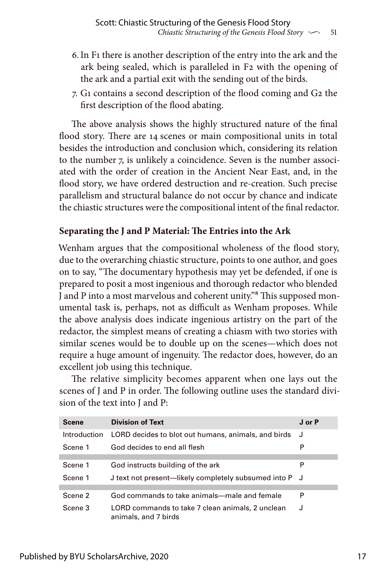- 6.In F1 there is another description of the entry into the ark and the ark being sealed, which is paralleled in F2 with the opening of the ark and a partial exit with the sending out of the birds.
- 7. G1 contains a second description of the flood coming and G2 the first description of the flood abating.

The above analysis shows the highly structured nature of the final flood story. There are 14 scenes or main compositional units in total besides the introduction and conclusion which, considering its relation to the number 7, is unlikely a coincidence. Seven is the number associated with the order of creation in the Ancient Near East, and, in the flood story, we have ordered destruction and re-creation. Such precise parallelism and structural balance do not occur by chance and indicate the chiastic structures were the compositional intent of the final redactor.

## **Separating the J and P Material: The Entries into the Ark**

Wenham argues that the compositional wholeness of the flood story, due to the overarching chiastic structure, points to one author, and goes on to say, "The documentary hypothesis may yet be defended, if one is prepared to posit a most ingenious and thorough redactor who blended J and P into a most marvelous and coherent unity."<sup>8</sup> This supposed monumental task is, perhaps, not as difficult as Wenham proposes. While the above analysis does indicate ingenious artistry on the part of the redactor, the simplest means of creating a chiasm with two stories with similar scenes would be to double up on the scenes—which does not require a huge amount of ingenuity. The redactor does, however, do an excellent job using this technique.

The relative simplicity becomes apparent when one lays out the scenes of J and P in order. The following outline uses the standard division of the text into J and P:

| <b>Scene</b> | <b>Division of Text</b>                                                  | J or P |
|--------------|--------------------------------------------------------------------------|--------|
| Introduction | LORD decides to blot out humans, animals, and birds J                    |        |
| Scene 1      | God decides to end all flesh                                             |        |
|              |                                                                          |        |
| Scene 1      | God instructs building of the ark                                        |        |
| Scene 1      | J text not present—likely completely subsumed into P J                   |        |
|              |                                                                          |        |
| Scene 2      | God commands to take animals—male and female                             | P      |
| Scene 3      | LORD commands to take 7 clean animals, 2 unclean<br>animals, and 7 birds | J      |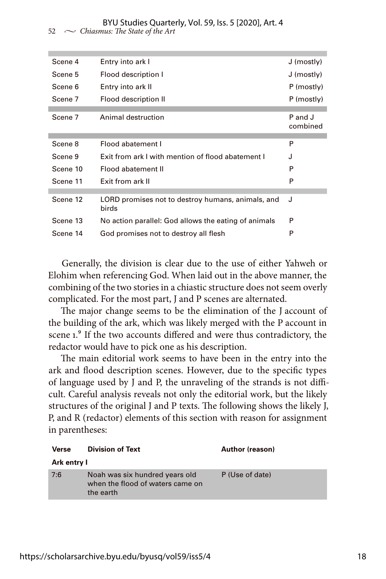| Scene 4  | Entry into ark I                                           | J (mostly)          |
|----------|------------------------------------------------------------|---------------------|
| Scene 5  | Flood description I                                        | J (mostly)          |
| Scene 6  | Entry into ark II                                          | P (mostly)          |
| Scene 7  | Flood description II                                       | P (mostly)          |
|          |                                                            |                     |
| Scene 7  | Animal destruction                                         | P and J<br>combined |
|          |                                                            |                     |
| Scene 8  | Flood abatement I                                          | P                   |
| Scene 9  | Exit from ark I with mention of flood abatement I          | J                   |
| Scene 10 | Flood abatement II                                         | P                   |
| Scene 11 | <b>Exit from ark II</b>                                    | P                   |
|          |                                                            |                     |
| Scene 12 | LORD promises not to destroy humans, animals, and<br>birds | J                   |
| Scene 13 | No action parallel: God allows the eating of animals       | P                   |
| Scene 14 | God promises not to destroy all flesh                      | P                   |
|          |                                                            |                     |

Generally, the division is clear due to the use of either Yahweh or Elohim when referencing God. When laid out in the above manner, the combining of the two stories in a chiastic structure does not seem overly complicated. For the most part, J and P scenes are alternated.

The major change seems to be the elimination of the J account of the building of the ark, which was likely merged with the P account in scene 1.<sup>9</sup> If the two accounts differed and were thus contradictory, the redactor would have to pick one as his description.

The main editorial work seems to have been in the entry into the ark and flood description scenes. However, due to the specific types of language used by J and P, the unraveling of the strands is not difficult. Careful analysis reveals not only the editorial work, but the likely structures of the original J and P texts. The following shows the likely J, P, and R (redactor) elements of this section with reason for assignment in parentheses:

| Verse       | <b>Division of Text</b>                                                         | Author (reason) |
|-------------|---------------------------------------------------------------------------------|-----------------|
| Ark entry I |                                                                                 |                 |
| 7:6         | Noah was six hundred years old<br>when the flood of waters came on<br>the earth | P (Use of date) |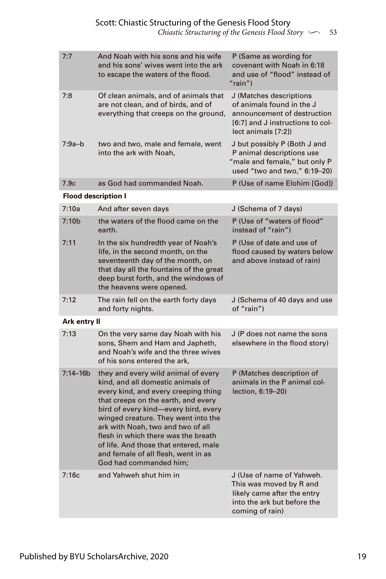| 7:7                        | And Noah with his sons and his wife<br>and his sons' wives went into the ark<br>to escape the waters of the flood.                                                                                                                                                                                                                                                                                                           | P (Same as wording for<br>covenant with Noah in 6:18<br>and use of "flood" instead of<br>$"$ rain")                                            |
|----------------------------|------------------------------------------------------------------------------------------------------------------------------------------------------------------------------------------------------------------------------------------------------------------------------------------------------------------------------------------------------------------------------------------------------------------------------|------------------------------------------------------------------------------------------------------------------------------------------------|
| 7:8                        | Of clean animals, and of animals that<br>are not clean, and of birds, and of<br>everything that creeps on the ground,                                                                                                                                                                                                                                                                                                        | J (Matches descriptions<br>of animals found in the J<br>announcement of destruction<br>[6:7] and J instructions to col-<br>lect animals [7:2]) |
| $7:9a-b$                   | two and two, male and female, went<br>into the ark with Noah,                                                                                                                                                                                                                                                                                                                                                                | J but possibly P (Both J and<br>P animal descriptions use<br>"male and female," but only P<br>used "two and two," 6:19-20)                     |
| 7.9c                       | as God had commanded Noah.                                                                                                                                                                                                                                                                                                                                                                                                   | P (Use of name Elohim [God])                                                                                                                   |
| <b>Flood description I</b> |                                                                                                                                                                                                                                                                                                                                                                                                                              |                                                                                                                                                |
| 7:10a                      | And after seven days                                                                                                                                                                                                                                                                                                                                                                                                         | J (Schema of 7 days)                                                                                                                           |
| 7:10 <sub>b</sub>          | the waters of the flood came on the<br>earth.                                                                                                                                                                                                                                                                                                                                                                                | P (Use of "waters of flood"<br>instead of "rain")                                                                                              |
| 7:11                       | In the six hundredth year of Noah's<br>life, in the second month, on the<br>seventeenth day of the month, on<br>that day all the fountains of the great<br>deep burst forth, and the windows of<br>the heavens were opened.                                                                                                                                                                                                  | P (Use of date and use of<br>flood caused by waters below<br>and above instead of rain)                                                        |
| 7:12                       | The rain fell on the earth forty days<br>and forty nights.                                                                                                                                                                                                                                                                                                                                                                   | J (Schema of 40 days and use<br>of "rain")                                                                                                     |
| Ark entry II               |                                                                                                                                                                                                                                                                                                                                                                                                                              |                                                                                                                                                |
| 7:13                       | On the very same day Noah with his<br>sons, Shem and Ham and Japheth,<br>and Noah's wife and the three wives<br>of his sons entered the ark.                                                                                                                                                                                                                                                                                 | J (P does not name the sons<br>elsewhere in the flood story)                                                                                   |
| $7:14 - 16b$               | they and every wild animal of every<br>kind, and all domestic animals of<br>every kind, and every creeping thing<br>that creeps on the earth, and every<br>bird of every kind-every bird, every<br>winged creature. They went into the<br>ark with Noah, two and two of all<br>flesh in which there was the breath<br>of life. And those that entered, male<br>and female of all flesh, went in as<br>God had commanded him: | P (Matches description of<br>animals in the P animal col-<br>lection, 6:19-20)                                                                 |
| 7:16c                      | and Yahweh shut him in                                                                                                                                                                                                                                                                                                                                                                                                       | J (Use of name of Yahweh.<br>This was moved by R and<br>likely came after the entry<br>into the ark but before the<br>coming of rain)          |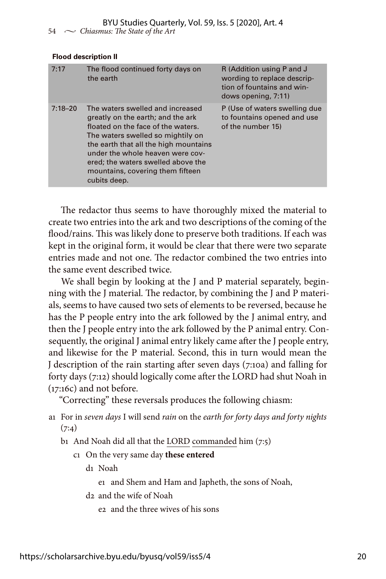#### **Flood description II**

| 7:17        | The flood continued forty days on<br>the earth                                                                                                                                                                                                                                                                          | R (Addition using P and J<br>wording to replace descrip-<br>tion of fountains and win-<br>dows opening, 7:11) |
|-------------|-------------------------------------------------------------------------------------------------------------------------------------------------------------------------------------------------------------------------------------------------------------------------------------------------------------------------|---------------------------------------------------------------------------------------------------------------|
| $7:18 - 20$ | The waters swelled and increased<br>greatly on the earth; and the ark<br>floated on the face of the waters.<br>The waters swelled so mightily on<br>the earth that all the high mountains<br>under the whole heaven were cov-<br>ered; the waters swelled above the<br>mountains, covering them fifteen<br>cubits deep. | P (Use of waters swelling due<br>to fountains opened and use<br>of the number 15)                             |

The redactor thus seems to have thoroughly mixed the material to create two entries into the ark and two descriptions of the coming of the flood/rains. This was likely done to preserve both traditions. If each was kept in the original form, it would be clear that there were two separate entries made and not one. The redactor combined the two entries into the same event described twice.

We shall begin by looking at the J and P material separately, beginning with the J material. The redactor, by combining the J and P materials, seems to have caused two sets of elements to be reversed, because he has the P people entry into the ark followed by the J animal entry, and then the J people entry into the ark followed by the P animal entry. Consequently, the original J animal entry likely came after the J people entry, and likewise for the P material. Second, this in turn would mean the J description of the rain starting after seven days (7:10a) and falling for forty days (7:12) should logically come after the LORD had shut Noah in (17:16c) and not before.

"Correcting" these reversals produces the following chiasm:

a1 For in *seven days* I will send *rain* on the *earth for forty days and forty nights*  $(7:4)$ 

b1 And Noah did all that the LORD commanded him (7:5)

c1 On the very same day **these entered**

d1 Noah

e1 and Shem and Ham and Japheth, the sons of Noah,

d2 and the wife of Noah

e2 and the three wives of his sons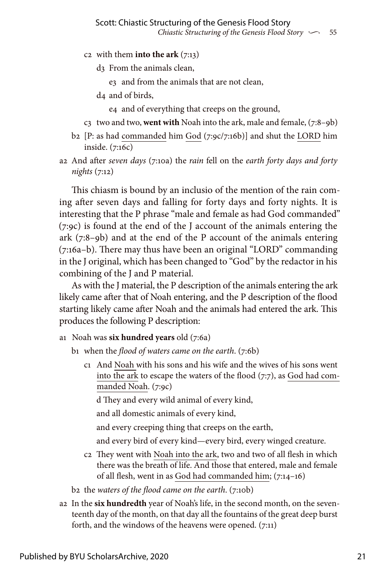- c2 with them **into the ark** (7:13)
	- d3 From the animals clean,
		- e3 and from the animals that are not clean,
	- d4 and of birds,

e4 and of everything that creeps on the ground,

- c3 two and two, **went with** Noah into the ark, male and female, (7:8–9b)
- b2 [P: as had commanded him God (7:9c/7:16b)] and shut the LORD him inside. (7:16c)
- a2 And after *seven days* (7:10a) the *rain* fell on the *earth forty days and forty nights* (7:12)

This chiasm is bound by an inclusio of the mention of the rain coming after seven days and falling for forty days and forty nights. It is interesting that the P phrase "male and female as had God commanded" (7:9c) is found at the end of the J account of the animals entering the ark (7:8–9b) and at the end of the P account of the animals entering (7:16a–b). There may thus have been an original "LORD" commanding in the J original, which has been changed to "God" by the redactor in his combining of the J and P material.

As with the J material, the P description of the animals entering the ark likely came after that of Noah entering, and the P description of the flood starting likely came after Noah and the animals had entered the ark. This produces the following P description:

a1 Noah was **six hundred years** old (7:6a)

- b1 when the *flood of waters came on the earth*. (7:6b)
	- c1 And Noah with his sons and his wife and the wives of his sons went into the ark to escape the waters of the flood (7:7), as God had commanded Noah. (7:9c)

d They and every wild animal of every kind,

and all domestic animals of every kind,

and every creeping thing that creeps on the earth,

and every bird of every kind—every bird, every winged creature.

c2 They went with Noah into the ark, two and two of all flesh in which there was the breath of life. And those that entered, male and female of all flesh, went in as God had commanded him; (7:14–16)

b2 the *waters of the flood came on the earth*. (7:10b)

a2 In the **six hundredth** year of Noah's life, in the second month, on the seventeenth day of the month, on that day all the fountains of the great deep burst forth, and the windows of the heavens were opened. (7:11)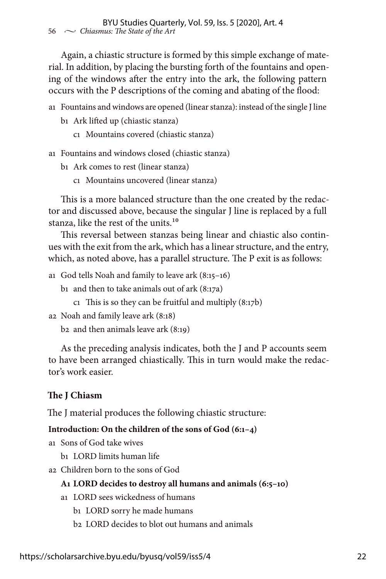Again, a chiastic structure is formed by this simple exchange of material. In addition, by placing the bursting forth of the fountains and opening of the windows after the entry into the ark, the following pattern occurs with the P descriptions of the coming and abating of the flood:

- a1 Fountains and windows are opened (linear stanza): instead of the single J line
	- b1 Ark lifted up (chiastic stanza)
		- c1 Mountains covered (chiastic stanza)
- a1 Fountains and windows closed (chiastic stanza)
	- b1 Ark comes to rest (linear stanza)
		- c1 Mountains uncovered (linear stanza)

This is a more balanced structure than the one created by the redactor and discussed above, because the singular J line is replaced by a full stanza, like the rest of the units.<sup>10</sup>

This reversal between stanzas being linear and chiastic also continues with the exit from the ark, which has a linear structure, and the entry, which, as noted above, has a parallel structure. The P exit is as follows:

a1 God tells Noah and family to leave ark (8:15–16)

- b1 and then to take animals out of ark (8:17a)
	- c1 This is so they can be fruitful and multiply  $(8:17b)$
- a2 Noah and family leave ark (8:18)

b2 and then animals leave ark (8:19)

As the preceding analysis indicates, both the J and P accounts seem to have been arranged chiastically. This in turn would make the redactor's work easier.

## **The J Chiasm**

The J material produces the following chiastic structure:

## **Introduction: On the children of the sons of God (6:1–4)**

a1 Sons of God take wives

b1 LORD limits human life

a2 Children born to the sons of God

## **A1 LORD decides to destroy all humans and animals (6:5–10)**

- a1 LORD sees wickedness of humans
	- b1 LORD sorry he made humans
	- b2 LORD decides to blot out humans and animals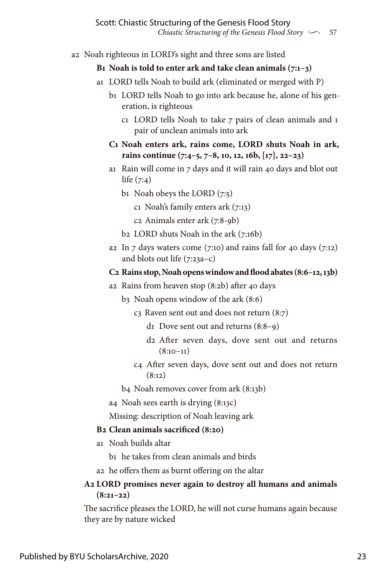a2 Noah righteous in LORD's sight and three sons are listed

## **B1 Noah is told to enter ark and take clean animals (7:1–3)**

- a1 LORD tells Noah to build ark (eliminated or merged with P)
	- b1 LORD tells Noah to go into ark because he, alone of his generation, is righteous
		- c1 LORD tells Noah to take 7 pairs of clean animals and 1 pair of unclean animals into ark
	- **C1 Noah enters ark, rains come, LORD shuts Noah in ark, rains continue (7:4–5, 7–8, 10, 12, 16b, [17], 22–23)**
	- a1 Rain will come in 7 days and it will rain 40 days and blot out life  $(7:4)$ 
		- b1 Noah obeys the LORD (7:5)
			- c1 Noah's family enters ark (7:13)
			- c2 Animals enter ark (7:8-9b)
		- b2 LORD shuts Noah in the ark (7:16b)
	- a2 In  $\overline{7}$  days waters come (7:10) and rains fall for 40 days (7:12) and blots out life  $(7:23a-c)$

## **C2 Rains stop, Noah opens window and flood abates (8:6–12, 13b)**

- a2 Rains from heaven stop (8:2b) after 40 days
	- b3 Noah opens window of the ark (8:6)
		- c3 Raven sent out and does not return (8:7)
			- d1 Dove sent out and returns (8:8–9)
			- d2 After seven days, dove sent out and returns  $(8:10-11)$
		- c4 After seven days, dove sent out and does not return  $(8:12)$

b4 Noah removes cover from ark (8:13b)

a4 Noah sees earth is drying (8:13c)

Missing: description of Noah leaving ark

## **B2 Clean animals sacrificed (8:20)**

a1 Noah builds altar

b1 he takes from clean animals and birds

a2 he offers them as burnt offering on the altar

## **A2 LORD promises never again to destroy all humans and animals (8:21–22)**

The sacrifice pleases the LORD, he will not curse humans again because they are by nature wicked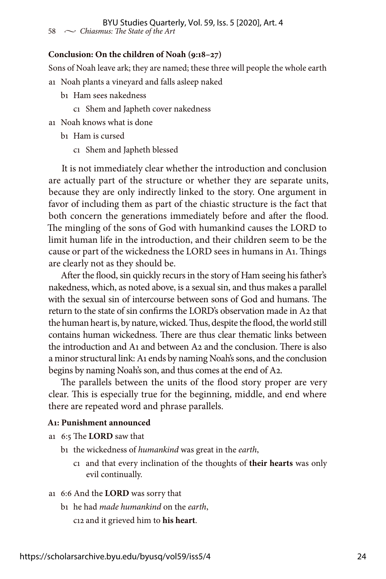## **Conclusion: On the children of Noah (9:18–27)**

Sons of Noah leave ark; they are named; these three will people the whole earth a1 Noah plants a vineyard and falls asleep naked

- b1 Ham sees nakedness
	- c1 Shem and Japheth cover nakedness
- a1 Noah knows what is done
	- b1 Ham is cursed
		- c1 Shem and Japheth blessed

It is not immediately clear whether the introduction and conclusion are actually part of the structure or whether they are separate units, because they are only indirectly linked to the story. One argument in favor of including them as part of the chiastic structure is the fact that both concern the generations immediately before and after the flood. The mingling of the sons of God with humankind causes the LORD to limit human life in the introduction, and their children seem to be the cause or part of the wickedness the LORD sees in humans in A1. Things are clearly not as they should be.

After the flood, sin quickly recurs in the story of Ham seeing his father's nakedness, which, as noted above, is a sexual sin, and thus makes a parallel with the sexual sin of intercourse between sons of God and humans. The return to the state of sin confirms the LORD's observation made in A2 that the human heart is, by nature, wicked. Thus, despite the flood, the world still contains human wickedness. There are thus clear thematic links between the introduction and A1 and between A2 and the conclusion. There is also a minor structural link: A1 ends by naming Noah's sons, and the conclusion begins by naming Noah's son, and thus comes at the end of A2.

The parallels between the units of the flood story proper are very clear. This is especially true for the beginning, middle, and end where there are repeated word and phrase parallels.

#### **A1: Punishment announced**

- a1 6:5 The **LORD** saw that
	- b1 the wickedness of *humankind* was great in the *earth*,
		- c1 and that every inclination of the thoughts of **their hearts** was only evil continually.
- a1 6:6 And the **LORD** was sorry that
	- b1 he had *made humankind* on the *earth*,

c12 and it grieved him to **his heart**.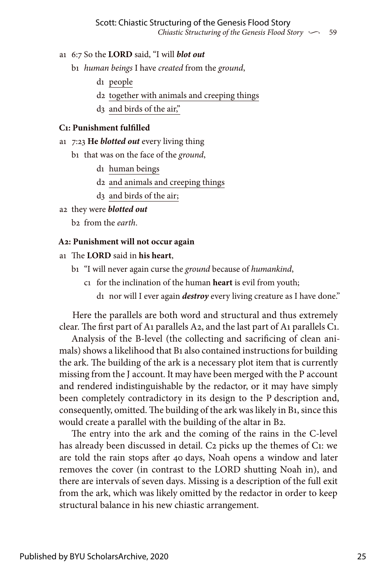- a1 6:7 So the **LORD** said, "I will *blot out*
	- b1 *human beings* I have *created* from the *ground*,
		- d1 people
		- d2 together with animals and creeping things
		- d3 and birds of the air,"

#### **C1: Punishment fulfilled**

- a1 7:23 **He** *blotted out* every living thing
	- b1 that was on the face of the *ground*,
		- d1 human beings
		- d2 and animals and creeping things
		- d3 and birds of the air;
- a2 they were *blotted out*

b2 from the *earth*.

#### **A2: Punishment will not occur again**

## a1 The **LORD** said in **his heart**,

- b1 "I will never again curse the *ground* because of *humankind*,
	- c1 for the inclination of the human **heart** is evil from youth;
		- d1 nor will I ever again *destroy* every living creature as I have done."

Here the parallels are both word and structural and thus extremely clear. The first part of A1 parallels A2, and the last part of A1 parallels C1.

Analysis of the B-level (the collecting and sacrificing of clean animals) shows a likelihood that B1 also contained instructions for building the ark. The building of the ark is a necessary plot item that is currently missing from the J account. It may have been merged with the P account and rendered indistinguishable by the redactor, or it may have simply been completely contradictory in its design to the P description and, consequently, omitted. The building of the ark was likely in B1, since this would create a parallel with the building of the altar in B2.

The entry into the ark and the coming of the rains in the C-level has already been discussed in detail. C2 picks up the themes of C1: we are told the rain stops after 40 days, Noah opens a window and later removes the cover (in contrast to the LORD shutting Noah in), and there are intervals of seven days. Missing is a description of the full exit from the ark, which was likely omitted by the redactor in order to keep structural balance in his new chiastic arrangement.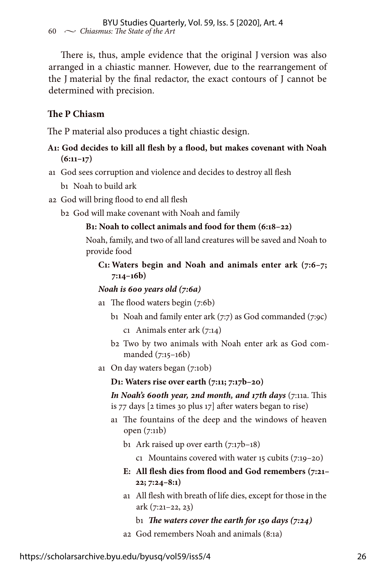There is, thus, ample evidence that the original J version was also arranged in a chiastic manner. However, due to the rearrangement of the J material by the final redactor, the exact contours of J cannot be determined with precision.

## **The P Chiasm**

The P material also produces a tight chiastic design.

## **A1: God decides to kill all flesh by a flood, but makes covenant with Noah (6:11–17)**

- a1 God sees corruption and violence and decides to destroy all flesh
	- b1 Noah to build ark
- a2 God will bring flood to end all flesh
	- b2 God will make covenant with Noah and family

## **B1: Noah to collect animals and food for them (6:18–22)**

 Noah, family, and two of all land creatures will be saved and Noah to provide food

## **C1: Waters begin and Noah and animals enter ark (7:6–7; 7:14–16b)**

### *Noah is 600 years old (7:6a)*

- a1 The flood waters begin (7:6b)
	- b1 Noah and family enter ark (7:7) as God commanded (7:9c)
		- c1 Animals enter ark (7:14)
	- b2 Two by two animals with Noah enter ark as God commanded (7:15–16b)
- a1 On day waters began (7:10b)

### **D1: Waters rise over earth (7:11; 7:17b–20)**

*In Noah's 600th year, 2nd month, and 17th days (7:11a. This* is 77 days [2 times 30 plus 17] after waters began to rise)

- a1 The fountains of the deep and the windows of heaven open (7:11b)
	- b<sub>1</sub> Ark raised up over earth  $(7:17b-18)$

c1 Mountains covered with water 15 cubits (7:19–20)

- **E: All flesh dies from flood and God remembers (7:21– 22; 7:24–8:1)**
- a1 All flesh with breath of life dies, except for those in the ark (7:21–22, 23)
	- b1 *The waters cover the earth for 150 days (7:24)*
- a2 God remembers Noah and animals (8:1a)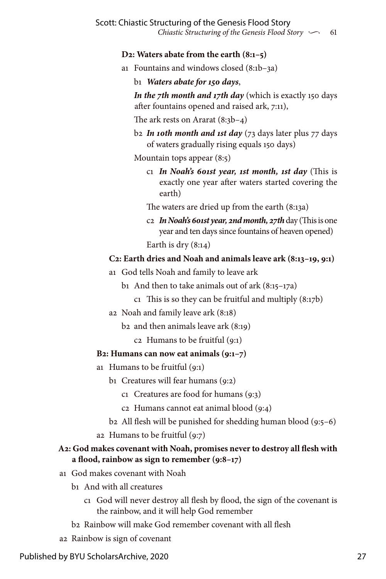## **D2: Waters abate from the earth (8:1–5)**

- a1 Fountains and windows closed (8:1b–3a)
	- b1 *Waters abate for 150 days*,

 *In the 7th month and 17th day* (which is exactly 150 days after fountains opened and raised ark, 7:11),

The ark rests on Ararat (8:3b–4)

 b2 *In 10th month and 1st day* (73 days later plus 77 days of waters gradually rising equals 150 days)

Mountain tops appear (8:5)

- c1 *In Noah's 601st year, 1st month, 1st day* (This is exactly one year after waters started covering the earth)
- The waters are dried up from the earth (8:13a)
- c2 *In Noah's 601st year, 2nd month, 27th* day (This is one year and ten days since fountains of heaven opened)

Earth is dry (8:14)

## **C2: Earth dries and Noah and animals leave ark (8:13–19, 9:1)**

- a1 God tells Noah and family to leave ark
	- b1 And then to take animals out of ark  $(8:15-17a)$ 
		- c1 This is so they can be fruitful and multiply  $(8:17b)$
- a2 Noah and family leave ark (8:18)
	- b2 and then animals leave ark (8:19)
		- c2 Humans to be fruitful (9:1)

## **B2: Humans can now eat animals (9:1–7)**

- a1 Humans to be fruitful (9:1)
	- b1 Creatures will fear humans (9:2)
		- c1 Creatures are food for humans (9:3)
		- c2 Humans cannot eat animal blood (9:4)
	- b2 All flesh will be punished for shedding human blood (9:5–6)
- a2 Humans to be fruitful  $(q:7)$

## **A2: God makes covenant with Noah, promises never to destroy all flesh with a flood, rainbow as sign to remember (9:8–17)**

- a1 God makes covenant with Noah
	- b1 And with all creatures
		- c1 God will never destroy all flesh by flood, the sign of the covenant is the rainbow, and it will help God remember
	- b2 Rainbow will make God remember covenant with all flesh
- a2 Rainbow is sign of covenant

Published by BYU ScholarsArchive, 2020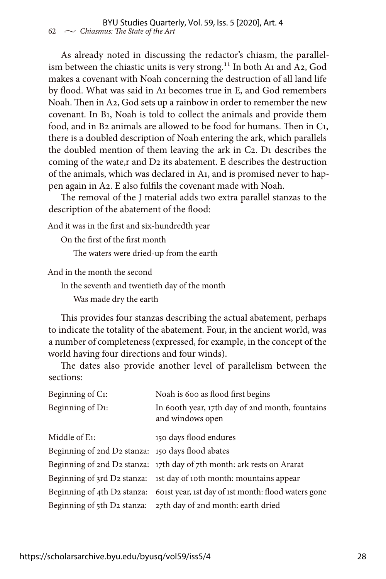As already noted in discussing the redactor's chiasm, the parallelism between the chiastic units is very strong.<sup>11</sup> In both A1 and A2, God makes a covenant with Noah concerning the destruction of all land life by flood. What was said in A1 becomes true in E, and God remembers Noah. Then in A2, God sets up a rainbow in order to remember the new covenant. In B1, Noah is told to collect the animals and provide them food, and in B2 animals are allowed to be food for humans. Then in C1, there is a doubled description of Noah entering the ark, which parallels the doubled mention of them leaving the ark in C2. D1 describes the coming of the wate,r and D2 its abatement. E describes the destruction of the animals, which was declared in A1, and is promised never to happen again in A2. E also fulfils the covenant made with Noah.

The removal of the J material adds two extra parallel stanzas to the description of the abatement of the flood:

And it was in the first and six-hundredth year

On the first of the first month

The waters were dried-up from the earth

And in the month the second

In the seventh and twentieth day of the month

Was made dry the earth

This provides four stanzas describing the actual abatement, perhaps to indicate the totality of the abatement. Four, in the ancient world, was a number of completeness (expressed, for example, in the concept of the world having four directions and four winds).

The dates also provide another level of parallelism between the sections:

| Beginning of C <sub>1</sub> :                     | Noah is 600 as flood first begins                                      |
|---------------------------------------------------|------------------------------------------------------------------------|
| Beginning of D1:                                  | In 600th year, 17th day of 2nd month, fountains<br>and windows open    |
| Middle of E <sub>1</sub> :                        | 150 days flood endures                                                 |
| Beginning of 2nd D2 stanza: 150 days flood abates |                                                                        |
|                                                   | Beginning of 2nd D2 stanza: 17th day of 7th month: ark rests on Ararat |
|                                                   | Beginning of 3rd D2 stanza: 1st day of 10th month: mountains appear    |
| Beginning of 4th D2 stanza:                       | 601st year, 1st day of 1st month: flood waters gone                    |
| Beginning of 5th D2 stanza:                       | 27th day of 2nd month: earth dried                                     |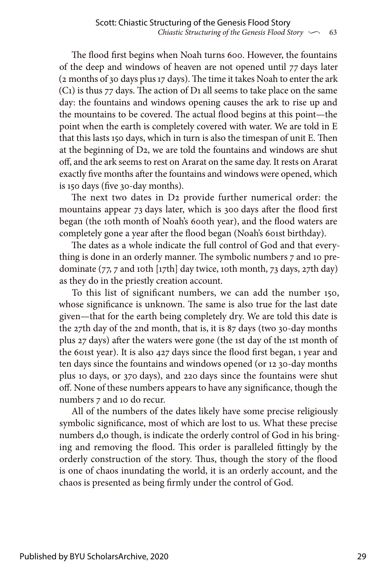The flood first begins when Noah turns 600. However, the fountains of the deep and windows of heaven are not opened until 77 days later (2 months of 30 days plus 17 days). The time it takes Noah to enter the ark (C1) is thus 77 days. The action of D1 all seems to take place on the same day: the fountains and windows opening causes the ark to rise up and the mountains to be covered. The actual flood begins at this point—the point when the earth is completely covered with water. We are told in E that this lasts 150 days, which in turn is also the timespan of unit E. Then at the beginning of D2, we are told the fountains and windows are shut off, and the ark seems to rest on Ararat on the same day. It rests on Ararat exactly five months after the fountains and windows were opened, which is 150 days (five 30-day months).

The next two dates in D2 provide further numerical order: the mountains appear 73 days later, which is 300 days after the flood first began (the 10th month of Noah's 600th year), and the flood waters are completely gone a year after the flood began (Noah's 601st birthday).

The dates as a whole indicate the full control of God and that everything is done in an orderly manner. The symbolic numbers 7 and 10 predominate (77, 7 and 10th [17th] day twice, 10th month, 73 days, 27th day) as they do in the priestly creation account.

To this list of significant numbers, we can add the number 150, whose significance is unknown. The same is also true for the last date given—that for the earth being completely dry. We are told this date is the 27th day of the 2nd month, that is, it is 87 days (two 30-day months plus 27 days) after the waters were gone (the 1st day of the 1st month of the 601st year). It is also 427 days since the flood first began, 1 year and ten days since the fountains and windows opened (or 12 30-day months plus 10 days, or 370 days), and 220 days since the fountains were shut off. None of these numbers appears to have any significance, though the numbers 7 and 10 do recur.

All of the numbers of the dates likely have some precise religiously symbolic significance, most of which are lost to us. What these precise numbers d,o though, is indicate the orderly control of God in his bringing and removing the flood. This order is paralleled fittingly by the orderly construction of the story. Thus, though the story of the flood is one of chaos inundating the world, it is an orderly account, and the chaos is presented as being firmly under the control of God.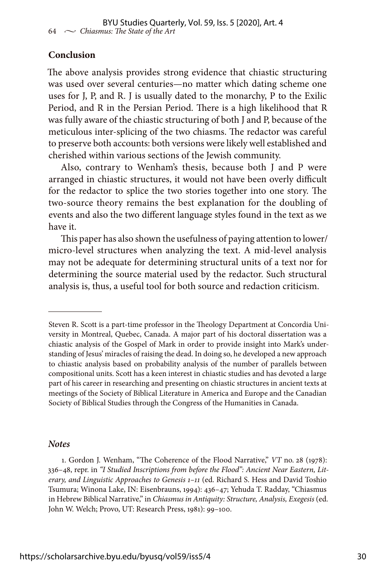## **Conclusion**

The above analysis provides strong evidence that chiastic structuring was used over several centuries—no matter which dating scheme one uses for J, P, and R. J is usually dated to the monarchy, P to the Exilic Period, and R in the Persian Period. There is a high likelihood that R was fully aware of the chiastic structuring of both J and P, because of the meticulous inter-splicing of the two chiasms. The redactor was careful to preserve both accounts: both versions were likely well established and cherished within various sections of the Jewish community.

Also, contrary to Wenham's thesis, because both J and P were arranged in chiastic structures, it would not have been overly difficult for the redactor to splice the two stories together into one story. The two-source theory remains the best explanation for the doubling of events and also the two different language styles found in the text as we have it.

This paper has also shown the usefulness of paying attention to lower/ micro-level structures when analyzing the text. A mid-level analysis may not be adequate for determining structural units of a text nor for determining the source material used by the redactor. Such structural analysis is, thus, a useful tool for both source and redaction criticism.

#### *Notes*

Steven R. Scott is a part-time professor in the Theology Department at Concordia University in Montreal, Quebec, Canada. A major part of his doctoral dissertation was a chiastic analysis of the Gospel of Mark in order to provide insight into Mark's understanding of Jesus' miracles of raising the dead. In doing so, he developed a new approach to chiastic analysis based on probability analysis of the number of parallels between compositional units. Scott has a keen interest in chiastic studies and has devoted a large part of his career in researching and presenting on chiastic structures in ancient texts at meetings of the Society of Biblical Literature in America and Europe and the Canadian Society of Biblical Studies through the Congress of the Humanities in Canada.

<sup>1.</sup> Gordon J. Wenham, "The Coherence of the Flood Narrative," *VT* no. 28 (1978): 336–48, repr. in *"I Studied Inscriptions from before the Flood": Ancient Near Eastern, Literary, and Linguistic Approaches to Genesis 1–11* (ed. Richard S. Hess and David Toshio Tsumura; Winona Lake, IN: Eisenbrauns, 1994): 436–47; Yehuda T. Radday, "Chiasmus in Hebrew Biblical Narrative," in *Chiasmus in Antiquity: Structure, Analysis, Exegesis* (ed. John W. Welch; Provo, UT: Research Press, 1981): 99–100.